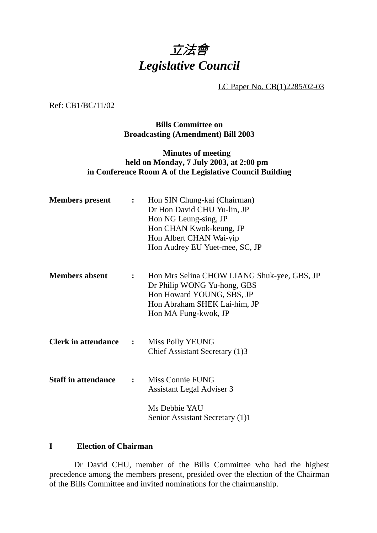## 立法會 *Legislative Council*

LC Paper No. CB(1)2285/02-03

Ref: CB1/BC/11/02

**Bills Committee on Broadcasting (Amendment) Bill 2003**

## **Minutes of meeting held on Monday, 7 July 2003, at 2:00 pm in Conference Room A of the Legislative Council Building**

| $\mathbf{L}$   | Hon SIN Chung-kai (Chairman)<br>Dr Hon David CHU Yu-lin, JP<br>Hon NG Leung-sing, JP<br>Hon CHAN Kwok-keung, JP<br>Hon Albert CHAN Wai-yip<br>Hon Audrey EU Yuet-mee, SC, JP |
|----------------|------------------------------------------------------------------------------------------------------------------------------------------------------------------------------|
| $\mathbf{L}$   | Hon Mrs Selina CHOW LIANG Shuk-yee, GBS, JP<br>Dr Philip WONG Yu-hong, GBS<br>Hon Howard YOUNG, SBS, JP<br>Hon Abraham SHEK Lai-him, JP<br>Hon MA Fung-kwok, JP              |
| $\ddot{\cdot}$ | <b>Miss Polly YEUNG</b><br>Chief Assistant Secretary (1)3                                                                                                                    |
| $\ddot{\cdot}$ | Miss Connie FUNG<br>Assistant Legal Adviser 3<br>Ms Debbie YAU<br>Senior Assistant Secretary (1)1                                                                            |
|                |                                                                                                                                                                              |

## **I Election of Chairman**

Dr David CHU, member of the Bills Committee who had the highest precedence among the members present, presided over the election of the Chairman of the Bills Committee and invited nominations for the chairmanship.